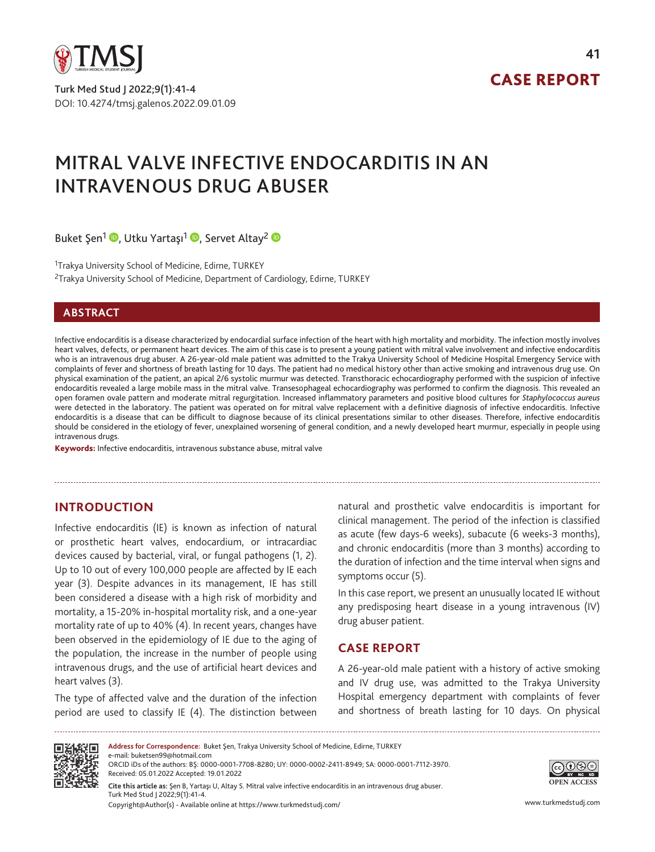

Turk Med Stud J 2022;9(1):41-4 DOI: 10.4274/tmsj.galenos.2022.09.01.09

# CASE REPORT

# MITRAL VALVE INFECTIVE ENDOCARDITIS IN AN INTRAVENOUS DRUG ABUSER

Buket Şen<sup>1</sup> D[,](https://orcid.org/0000-0002-2411-8949) Utku Yartaşı<sup>1</sup> D, Servet Altay<sup>2</sup> D

<sup>1</sup>Trakya University School of Medicine, Edirne, TURKEY <sup>2</sup>Trakya University School of Medicine, Department of Cardiology, Edirne, TURKEY

#### **ABSTRACT**

Infective endocarditis is a disease characterized by endocardial surface infection of the heart with high mortality and morbidity. The infection mostly involves heart valves, defects, or permanent heart devices. The aim of this case is to present a young patient with mitral valve involvement and infective endocarditis who is an intravenous drug abuser. A 26-year-old male patient was admitted to the Trakya University School of Medicine Hospital Emergency Service with complaints of fever and shortness of breath lasting for 10 days. The patient had no medical history other than active smoking and intravenous drug use. On physical examination of the patient, an apical 2/6 systolic murmur was detected. Transthoracic echocardiography performed with the suspicion of infective endocarditis revealed a large mobile mass in the mitral valve. Transesophageal echocardiography was performed to confirm the diagnosis. This revealed an open foramen ovale pattern and moderate mitral regurgitation. Increased inflammatory parameters and positive blood cultures for *Staphylococcus aureus*  were detected in the laboratory. The patient was operated on for mitral valve replacement with a definitive diagnosis of infective endocarditis. Infective endocarditis is a disease that can be difficult to diagnose because of its clinical presentations similar to other diseases. Therefore, infective endocarditis should be considered in the etiology of fever, unexplained worsening of general condition, and a newly developed heart murmur, especially in people using intravenous drugs.

Keywords: Infective endocarditis, intravenous substance abuse, mitral valve

# **INTRODUCTION**

Infective endocarditis (IE) is known as infection of natural or prosthetic heart valves, endocardium, or intracardiac devices caused by bacterial, viral, or fungal pathogens (1, 2). Up to 10 out of every 100,000 people are affected by IE each year (3). Despite advances in its management, IE has still been considered a disease with a high risk of morbidity and mortality, a 15-20% in-hospital mortality risk, and a one-year mortality rate of up to 40% (4). In recent years, changes have been observed in the epidemiology of IE due to the aging of the population, the increase in the number of people using intravenous drugs, and the use of artificial heart devices and heart valves (3).

The type of affected valve and the duration of the infection period are used to classify IE (4). The distinction between

natural and prosthetic valve endocarditis is important for clinical management. The period of the infection is classified as acute (few days-6 weeks), subacute (6 weeks-3 months), and chronic endocarditis (more than 3 months) according to the duration of infection and the time interval when signs and symptoms occur (5).

In this case report, we present an unusually located IE without any predisposing heart disease in a young intravenous (IV) drug abuser patient.

# **CASE REPORT**

A 26-year-old male patient with a history of active smoking and IV drug use, was admitted to the Trakya University Hospital emergency department with complaints of fever and shortness of breath lasting for 10 days. On physical



**Address for Correspondence:** Buket Şen, Trakya University School of Medicine, Edirne, TURKEY

e-mail: buketsen99@hotmail.com ORCID iDs of the authors: BŞ: 0000-0001-7708-8280; UY: 0000-0002-2411-8949; SA: 0000-0001-7112-3970. Received: 05.01.2022 Accepted: 19.01.2022

Copyright@Author(s) - Available online at https://www.turkmedstudj.com/ www.turkmedstudj.com **Cite this article as:** Şen B, Yartaşı U, Altay S. Mitral valve infective endocarditis in an intravenous drug abuser. Turk Med Stud J 2022;9(1):41-4.

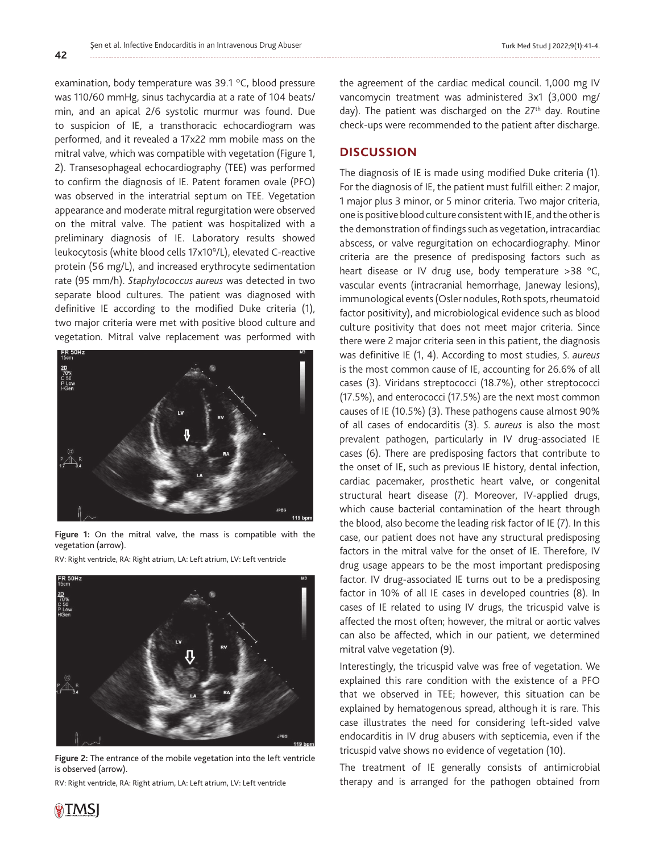examination, body temperature was 39.1 °C, blood pressure was 110/60 mmHg, sinus tachycardia at a rate of 104 beats/ min, and an apical 2/6 systolic murmur was found. Due to suspicion of IE, a transthoracic echocardiogram was performed, and it revealed a 17x22 mm mobile mass on the mitral valve, which was compatible with vegetation (Figure 1, 2). Transesophageal echocardiography (TEE) was performed to confirm the diagnosis of IE. Patent foramen ovale (PFO) was observed in the interatrial septum on TEE. Vegetation appearance and moderate mitral regurgitation were observed on the mitral valve. The patient was hospitalized with a preliminary diagnosis of IE. Laboratory results showed leukocytosis (white blood cells 17x109 /L), elevated C-reactive protein (56 mg/L), and increased erythrocyte sedimentation rate (95 mm/h). *Staphylococcus aureus* was detected in two separate blood cultures. The patient was diagnosed with definitive IE according to the modified Duke criteria (1), two major criteria were met with positive blood culture and vegetation. Mitral valve replacement was performed with



**Figure 1:** On the mitral valve, the mass is compatible with the vegetation (arrow).

RV: Right ventricle, RA: Right atrium, LA: Left atrium, LV: Left ventricle



**Figure 2:** The entrance of the mobile vegetation into the left ventricle is observed (arrow).

RV: Right ventricle, RA: Right atrium, LA: Left atrium, LV: Left ventricle

the agreement of the cardiac medical council. 1,000 mg IV vancomycin treatment was administered 3x1 (3,000 mg/ day). The patient was discharged on the 27<sup>th</sup> day. Routine check-ups were recommended to the patient after discharge.

# **DISCUSSION**

The diagnosis of IE is made using modified Duke criteria (1). For the diagnosis of IE, the patient must fulfill either: 2 major, 1 major plus 3 minor, or 5 minor criteria. Two major criteria, one is positive blood culture consistent with IE, and the other is the demonstration of findings such as vegetation, intracardiac abscess, or valve regurgitation on echocardiography. Minor criteria are the presence of predisposing factors such as heart disease or IV drug use, body temperature >38 °C, vascular events (intracranial hemorrhage, Janeway lesions), immunological events (Osler nodules, Roth spots, rheumatoid factor positivity), and microbiological evidence such as blood culture positivity that does not meet major criteria. Since there were 2 major criteria seen in this patient, the diagnosis was definitive IE (1, 4). According to most studies, *S. aureus* is the most common cause of IE, accounting for 26.6% of all cases (3). Viridans streptococci (18.7%), other streptococci (17.5%), and enterococci (17.5%) are the next most common causes of IE (10.5%) (3). These pathogens cause almost 90% of all cases of endocarditis (3). *S. aureus* is also the most prevalent pathogen, particularly in IV drug-associated IE cases (6). There are predisposing factors that contribute to the onset of IE, such as previous IE history, dental infection, cardiac pacemaker, prosthetic heart valve, or congenital structural heart disease (7). Moreover, IV-applied drugs, which cause bacterial contamination of the heart through the blood, also become the leading risk factor of IE (7). In this case, our patient does not have any structural predisposing factors in the mitral valve for the onset of IE. Therefore, IV drug usage appears to be the most important predisposing factor. IV drug-associated IE turns out to be a predisposing factor in 10% of all IE cases in developed countries (8). In cases of IE related to using IV drugs, the tricuspid valve is affected the most often; however, the mitral or aortic valves can also be affected, which in our patient, we determined mitral valve vegetation (9).

Interestingly, the tricuspid valve was free of vegetation. We explained this rare condition with the existence of a PFO that we observed in TEE; however, this situation can be explained by hematogenous spread, although it is rare. This case illustrates the need for considering left-sided valve endocarditis in IV drug abusers with septicemia, even if the tricuspid valve shows no evidence of vegetation (10).

The treatment of IE generally consists of antimicrobial therapy and is arranged for the pathogen obtained from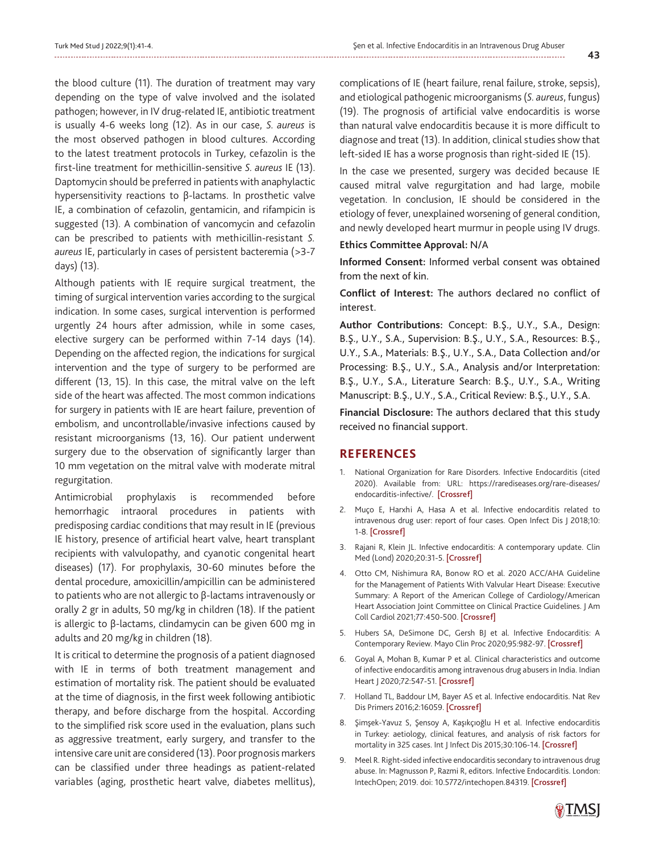the blood culture (11). The duration of treatment may vary depending on the type of valve involved and the isolated pathogen; however, in IV drug-related IE, antibiotic treatment is usually 4-6 weeks long (12). As in our case, *S. aureus* is the most observed pathogen in blood cultures. According to the latest treatment protocols in Turkey, cefazolin is the first-line treatment for methicillin-sensitive *S. aureus* IE (13). Daptomycin should be preferred in patients with anaphylactic hypersensitivity reactions to β-lactams. In prosthetic valve IE, a combination of cefazolin, gentamicin, and rifampicin is suggested (13). A combination of vancomycin and cefazolin can be prescribed to patients with methicillin-resistant *S. aureus* IE, particularly in cases of persistent bacteremia (>3-7 days) (13).

Although patients with IE require surgical treatment, the timing of surgical intervention varies according to the surgical indication. In some cases, surgical intervention is performed urgently 24 hours after admission, while in some cases, elective surgery can be performed within 7-14 days (14). Depending on the affected region, the indications for surgical intervention and the type of surgery to be performed are different (13, 15). In this case, the mitral valve on the left side of the heart was affected. The most common indications for surgery in patients with IE are heart failure, prevention of embolism, and uncontrollable/invasive infections caused by resistant microorganisms (13, 16). Our patient underwent surgery due to the observation of significantly larger than 10 mm vegetation on the mitral valve with moderate mitral regurgitation.

Antimicrobial prophylaxis is recommended before hemorrhagic intraoral procedures in patients with predisposing cardiac conditions that may result in IE (previous IE history, presence of artificial heart valve, heart transplant recipients with valvulopathy, and cyanotic congenital heart diseases) (17). For prophylaxis, 30-60 minutes before the dental procedure, amoxicillin/ampicillin can be administered to patients who are not allergic to β-lactams intravenously or orally 2 gr in adults, 50 mg/kg in children (18). If the patient is allergic to β-lactams, clindamycin can be given 600 mg in adults and 20 mg/kg in children (18).

It is critical to determine the prognosis of a patient diagnosed with IE in terms of both treatment management and estimation of mortality risk. The patient should be evaluated at the time of diagnosis, in the first week following antibiotic therapy, and before discharge from the hospital. According to the simplified risk score used in the evaluation, plans such as aggressive treatment, early surgery, and transfer to the intensive care unit are considered (13). Poor prognosis markers can be classified under three headings as patient-related variables (aging, prosthetic heart valve, diabetes mellitus),

complications of IE (heart failure, renal failure, stroke, sepsis), and etiological pathogenic microorganisms (*S. aureus*, fungus) (19). The prognosis of artificial valve endocarditis is worse than natural valve endocarditis because it is more difficult to diagnose and treat (13). In addition, clinical studies show that left-sided IE has a worse prognosis than right-sided IE (15).

In the case we presented, surgery was decided because IE caused mitral valve regurgitation and had large, mobile vegetation. In conclusion, IE should be considered in the etiology of fever, unexplained worsening of general condition, and newly developed heart murmur in people using IV drugs.

#### **Ethics Committee Approval:** N/A

**Informed Consent:** Informed verbal consent was obtained from the next of kin.

**Conflict of Interest:** The authors declared no conflict of interest.

**Author Contributions:** Concept: B.Ş., U.Y., S.A., Design: B.Ş., U.Y., S.A., Supervision: B.Ş., U.Y., S.A., Resources: B.Ş., U.Y., S.A., Materials: B.Ş., U.Y., S.A., Data Collection and/or Processing: B.Ş., U.Y., S.A., Analysis and/or Interpretation: B.Ş., U.Y., S.A., Literature Search: B.Ş., U.Y., S.A., Writing Manuscript: B.Ş., U.Y., S.A., Critical Review: B.Ş., U.Y., S.A.

**Financial Disclosure:** The authors declared that this study received no financial support.

#### **REFERENCES**

- 1. National Organization for Rare Disorders. Infective Endocarditis (cited 2020). Available from: URL: https://rarediseases.org/rare-diseases/ endocarditis-infective/. [[Crossref\]](https://rarediseases.org/rare-diseases/ endocarditis-infective/)
- 2. Muço E, Harxhi A, Hasa A et al. Infective endocarditis related to intravenous drug user: report of four cases. Open Infect Dis J 2018;10: 1-8. [\[Crossref](https://doi.org/10.2174/1874279301810010001)]
- 3. Rajani R, Klein JL. Infective endocarditis: A contemporary update. Clin Med (Lond) 2020;20:31-5. [\[Crossref\]](https://doi.org/10.7861/clinmed.cme.20.1.1)
- 4. Otto CM, Nishimura RA, Bonow RO et al. 2020 ACC/AHA Guideline for the Management of Patients With Valvular Heart Disease: Executive Summary: A Report of the American College of Cardiology/American Heart Association Joint Committee on Clinical Practice Guidelines. J Am Coll Cardiol 2021;77:450-500. [[Crossref\]](https://doi.org/10.1161/CIR.0000000000000932)
- 5. Hubers SA, DeSimone DC, Gersh BJ et al. Infective Endocarditis: A Contemporary Review. Mayo Clin Proc 2020;95:982-97. [\[Crossref\]](https://doi.org/10.1016/j.mayocp.2019.12.008)
- 6. Goyal A, Mohan B, Kumar P et al. Clinical characteristics and outcome of infective endocarditis among intravenous drug abusers in India. Indian Heart J 2020;72:547-51. [\[Crossref\]](https://doi.org/10.1016/j.ihj.2020.09.014)
- 7. Holland TL, Baddour LM, Bayer AS et al. Infective endocarditis. Nat Rev Dis Primers 2016;2:16059. [\[Crossref\]](https://www.nature.com/articles/nrdp201659)
- 8. Şimşek-Yavuz S, Şensoy A, Kaşıkçıoğlu H et al. Infective endocarditis in Turkey: aetiology, clinical features, and analysis of risk factors for mortality in 325 cases. Int J Infect Dis 2015;30:106-14. [[Crossref\]](https://doi.org/10.1016/j.ijid.2014.11.007)
- 9. Meel R. Right-sided infective endocarditis secondary to intravenous drug abuse. In: Magnusson P, Razmi R, editors. Infective Endocarditis. London: IntechOpen; 2019. doi: 10.5772/intechopen.84319. [\[Crossref](https://www.intechopen.com/chapters/65552)]